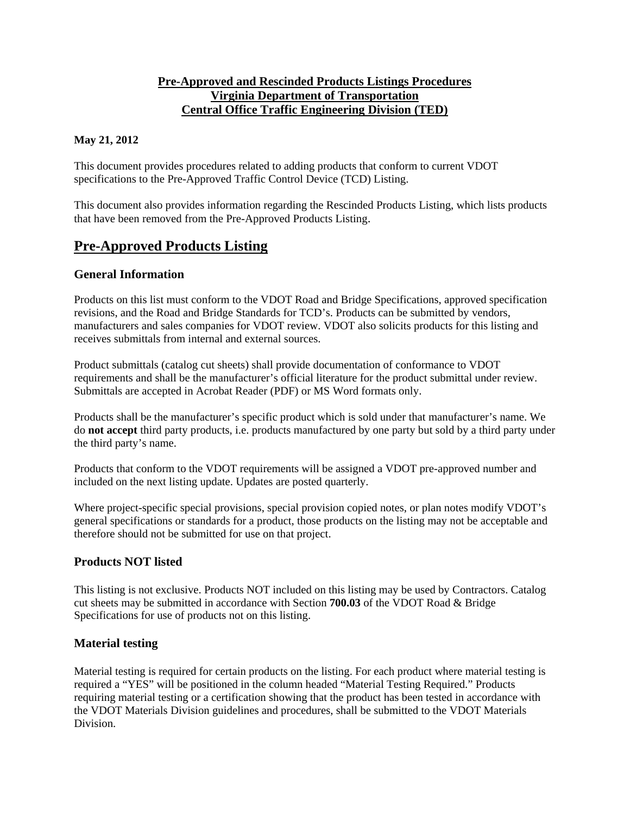## **Pre-Approved and Rescinded Products Listings Procedures Virginia Department of Transportation Central Office Traffic Engineering Division (TED)**

### **May 21, 2012**

This document provides procedures related to adding products that conform to current VDOT specifications to the Pre-Approved Traffic Control Device (TCD) Listing.

This document also provides information regarding the Rescinded Products Listing, which lists products that have been removed from the Pre-Approved Products Listing.

## **Pre-Approved Products Listing**

#### **General Information**

Products on this list must conform to the VDOT Road and Bridge Specifications, approved specification revisions, and the Road and Bridge Standards for TCD's. Products can be submitted by vendors, manufacturers and sales companies for VDOT review. VDOT also solicits products for this listing and receives submittals from internal and external sources.

Product submittals (catalog cut sheets) shall provide documentation of conformance to VDOT requirements and shall be the manufacturer's official literature for the product submittal under review. Submittals are accepted in Acrobat Reader (PDF) or MS Word formats only.

Products shall be the manufacturer's specific product which is sold under that manufacturer's name. We do **not accept** third party products, i.e. products manufactured by one party but sold by a third party under the third party's name.

Products that conform to the VDOT requirements will be assigned a VDOT pre-approved number and included on the next listing update. Updates are posted quarterly.

Where project-specific special provisions, special provision copied notes, or plan notes modify VDOT's general specifications or standards for a product, those products on the listing may not be acceptable and therefore should not be submitted for use on that project.

### **Products NOT listed**

This listing is not exclusive. Products NOT included on this listing may be used by Contractors. Catalog cut sheets may be submitted in accordance with Section **700.03** of the VDOT Road & Bridge Specifications for use of products not on this listing.

### **Material testing**

Material testing is required for certain products on the listing. For each product where material testing is required a "YES" will be positioned in the column headed "Material Testing Required." Products requiring material testing or a certification showing that the product has been tested in accordance with the VDOT Materials Division guidelines and procedures, shall be submitted to the VDOT Materials Division.